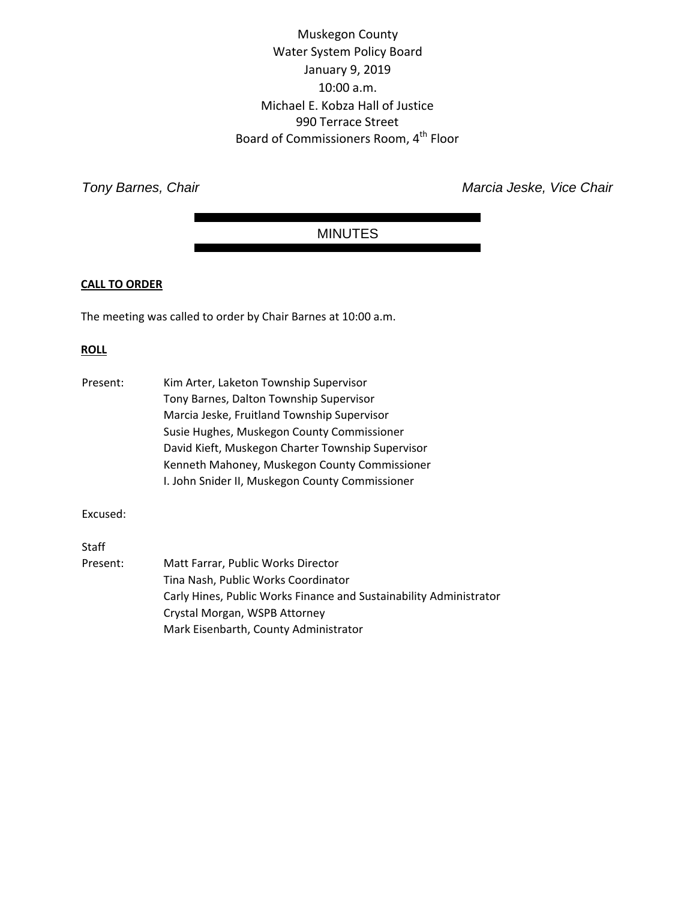Muskegon County Water System Policy Board January 9, 2019 10:00 a.m. Michael E. Kobza Hall of Justice 990 Terrace Street Board of Commissioners Room, 4th Floor

**Tony Barnes, Chair** *Tony Barnes*, Chair *Marcia Jeske, Vice Chair* 

# MINUTES

# **CALL TO ORDER**

The meeting was called to order by Chair Barnes at 10:00 a.m.

# **ROLL**

| Present: | Kim Arter, Laketon Township Supervisor                             |
|----------|--------------------------------------------------------------------|
|          | Tony Barnes, Dalton Township Supervisor                            |
|          | Marcia Jeske, Fruitland Township Supervisor                        |
|          | Susie Hughes, Muskegon County Commissioner                         |
|          | David Kieft, Muskegon Charter Township Supervisor                  |
|          | Kenneth Mahoney, Muskegon County Commissioner                      |
|          | I. John Snider II, Muskegon County Commissioner                    |
| Excused: |                                                                    |
|          |                                                                    |
| Staff    |                                                                    |
| Present: | Matt Farrar, Public Works Director                                 |
|          | Tina Nash, Public Works Coordinator                                |
|          | Carly Hines, Public Works Finance and Sustainability Administrator |
|          | Crystal Morgan, WSPB Attorney                                      |
|          | Mark Eisenbarth, County Administrator                              |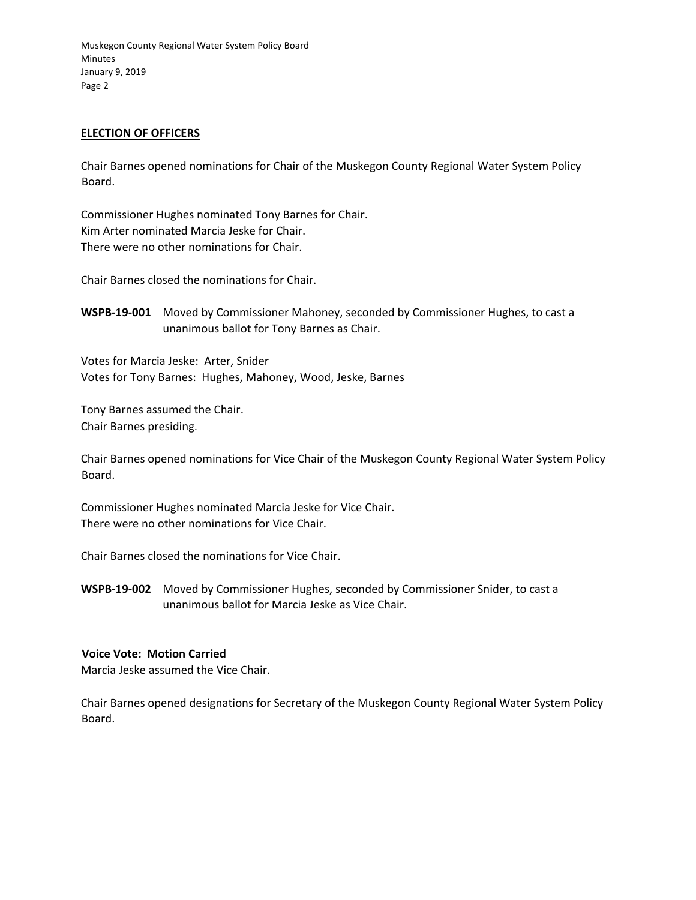### **ELECTION OF OFFICERS**

Chair Barnes opened nominations for Chair of the Muskegon County Regional Water System Policy Board.

Commissioner Hughes nominated Tony Barnes for Chair. Kim Arter nominated Marcia Jeske for Chair. There were no other nominations for Chair.

Chair Barnes closed the nominations for Chair.

**WSPB‐19‐001** Moved by Commissioner Mahoney, seconded by Commissioner Hughes, to cast a unanimous ballot for Tony Barnes as Chair.

Votes for Marcia Jeske: Arter, Snider Votes for Tony Barnes: Hughes, Mahoney, Wood, Jeske, Barnes

Tony Barnes assumed the Chair. Chair Barnes presiding.

Chair Barnes opened nominations for Vice Chair of the Muskegon County Regional Water System Policy Board.

Commissioner Hughes nominated Marcia Jeske for Vice Chair. There were no other nominations for Vice Chair.

Chair Barnes closed the nominations for Vice Chair.

**WSPB‐19‐002** Moved by Commissioner Hughes, seconded by Commissioner Snider, to cast a unanimous ballot for Marcia Jeske as Vice Chair.

#### **Voice Vote: Motion Carried**

Marcia Jeske assumed the Vice Chair.

Chair Barnes opened designations for Secretary of the Muskegon County Regional Water System Policy Board.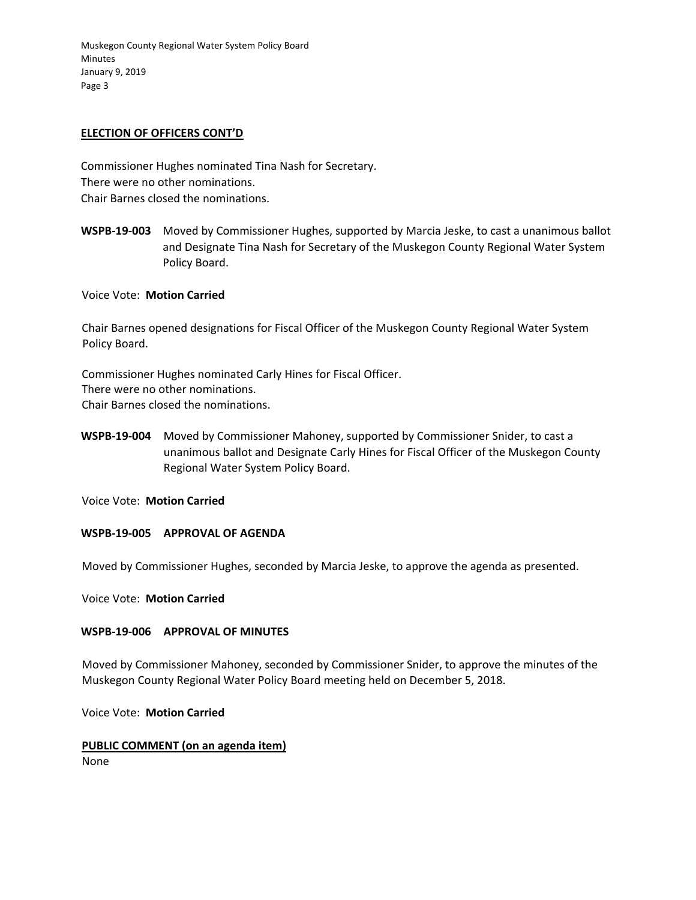#### **ELECTION OF OFFICERS CONT'D**

Commissioner Hughes nominated Tina Nash for Secretary. There were no other nominations. Chair Barnes closed the nominations.

**WSPB‐19‐003** Moved by Commissioner Hughes, supported by Marcia Jeske, to cast a unanimous ballot and Designate Tina Nash for Secretary of the Muskegon County Regional Water System Policy Board.

Voice Vote: **Motion Carried** 

Chair Barnes opened designations for Fiscal Officer of the Muskegon County Regional Water System Policy Board.

Commissioner Hughes nominated Carly Hines for Fiscal Officer. There were no other nominations. Chair Barnes closed the nominations.

**WSPB‐19‐004** Moved by Commissioner Mahoney, supported by Commissioner Snider, to cast a unanimous ballot and Designate Carly Hines for Fiscal Officer of the Muskegon County Regional Water System Policy Board.

Voice Vote: **Motion Carried**

#### **WSPB‐19‐005 APPROVAL OF AGENDA**

Moved by Commissioner Hughes, seconded by Marcia Jeske, to approve the agenda as presented.

Voice Vote: **Motion Carried**

#### **WSPB‐19‐006 APPROVAL OF MINUTES**

Moved by Commissioner Mahoney, seconded by Commissioner Snider, to approve the minutes of the Muskegon County Regional Water Policy Board meeting held on December 5, 2018.

Voice Vote: **Motion Carried**

# **PUBLIC COMMENT (on an agenda item)**

None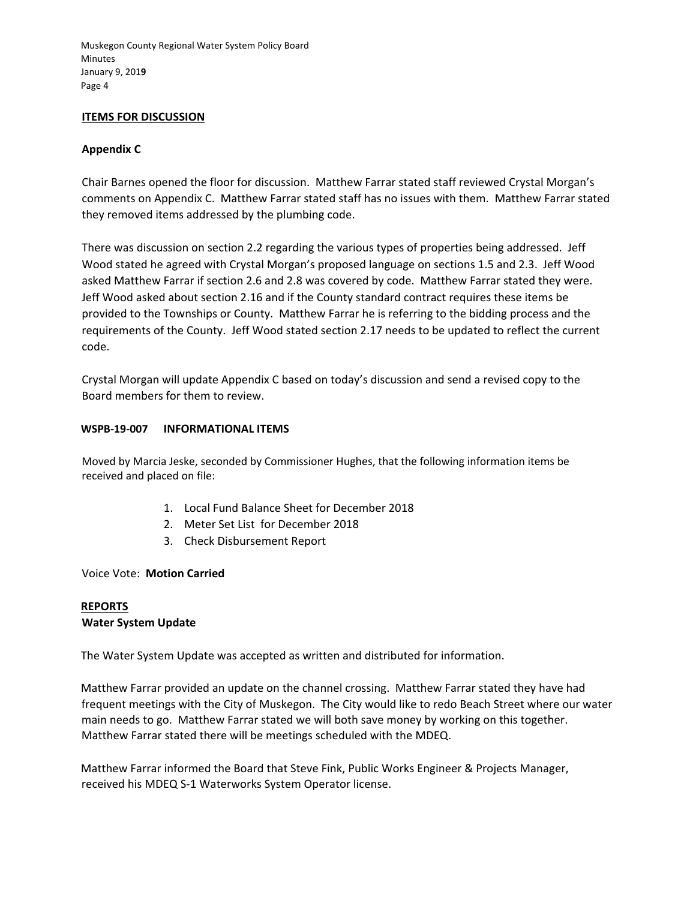### **ITEMS FOR DISCUSSION**

# **Appendix C**

Chair Barnes opened the floor for discussion. Matthew Farrar stated staff reviewed Crystal Morgan's comments on Appendix C. Matthew Farrar stated staff has no issues with them. Matthew Farrar stated they removed items addressed by the plumbing code.

There was discussion on section 2.2 regarding the various types of properties being addressed. Jeff Wood stated he agreed with Crystal Morgan's proposed language on sections 1.5 and 2.3. Jeff Wood asked Matthew Farrar if section 2.6 and 2.8 was covered by code. Matthew Farrar stated they were. Jeff Wood asked about section 2.16 and if the County standard contract requires these items be provided to the Townships or County. Matthew Farrar he is referring to the bidding process and the requirements of the County. Jeff Wood stated section 2.17 needs to be updated to reflect the current code.

Crystal Morgan will update Appendix C based on today's discussion and send a revised copy to the Board members for them to review.

#### **WSPB‐19‐007 INFORMATIONAL ITEMS**

Moved by Marcia Jeske, seconded by Commissioner Hughes, that the following information items be received and placed on file:

- 1. Local Fund Balance Sheet for December 2018
- 2. Meter Set List for December 2018
- 3. Check Disbursement Report

Voice Vote: **Motion Carried**

#### **REPORTS**

#### **Water System Update**

The Water System Update was accepted as written and distributed for information.

Matthew Farrar provided an update on the channel crossing. Matthew Farrar stated they have had frequent meetings with the City of Muskegon. The City would like to redo Beach Street where our water main needs to go. Matthew Farrar stated we will both save money by working on this together. Matthew Farrar stated there will be meetings scheduled with the MDEQ.

Matthew Farrar informed the Board that Steve Fink, Public Works Engineer & Projects Manager, received his MDEQ S‐1 Waterworks System Operator license.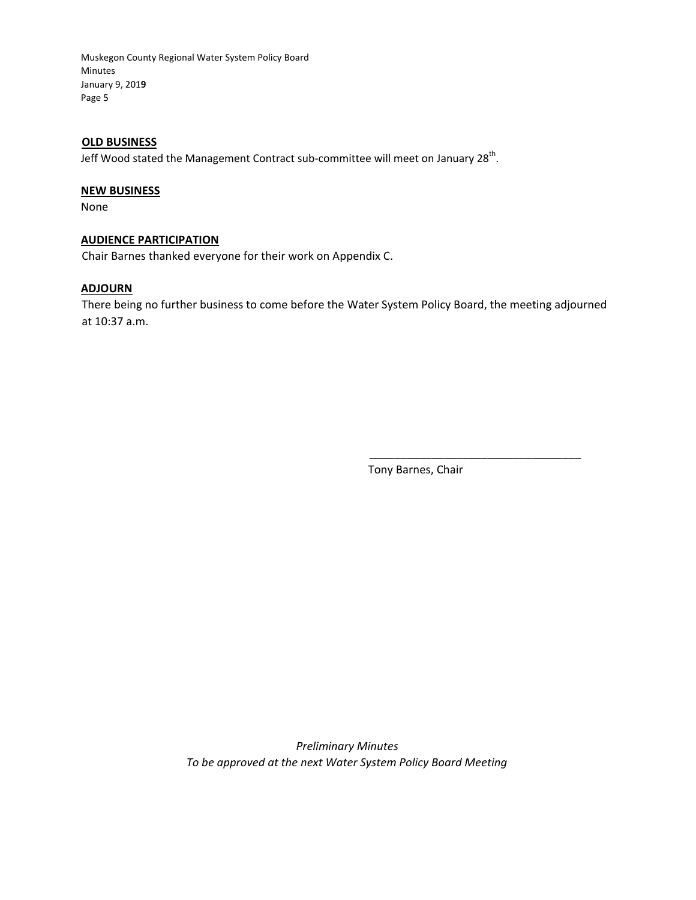### **OLD BUSINESS**

Jeff Wood stated the Management Contract sub-committee will meet on January 28<sup>th</sup>.

# **NEW BUSINESS**

None

#### **AUDIENCE PARTICIPATION**

Chair Barnes thanked everyone for their work on Appendix C.

#### **ADJOURN**

There being no further business to come before the Water System Policy Board, the meeting adjourned at 10:37 a.m.

Tony Barnes, Chair

\_\_\_\_\_\_\_\_\_\_\_\_\_\_\_\_\_\_\_\_\_\_\_\_\_\_\_\_\_\_\_\_\_\_

 *Preliminary Minutes To be approved at the next Water System Policy Board Meeting*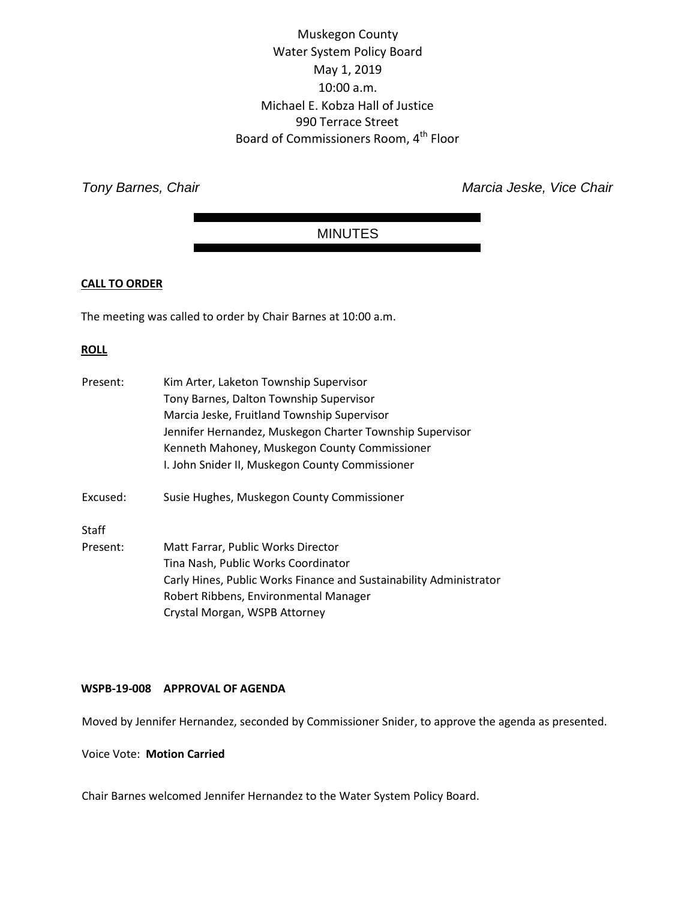# Muskegon County Water System Policy Board May 1, 2019 10:00 a.m. Michael E. Kobza Hall of Justice 990 Terrace Street Board of Commissioners Room, 4<sup>th</sup> Floor

**Tony Barnes, Chair** *Tony Barnes*, Chair *Marcia Jeske, Vice Chair* 

# MINUTES

# **CALL TO ORDER**

The meeting was called to order by Chair Barnes at 10:00 a.m.

# **ROLL**

| Present: | Kim Arter, Laketon Township Supervisor                             |
|----------|--------------------------------------------------------------------|
|          | Tony Barnes, Dalton Township Supervisor                            |
|          | Marcia Jeske, Fruitland Township Supervisor                        |
|          | Jennifer Hernandez, Muskegon Charter Township Supervisor           |
|          | Kenneth Mahoney, Muskegon County Commissioner                      |
|          | I. John Snider II, Muskegon County Commissioner                    |
| Excused: | Susie Hughes, Muskegon County Commissioner                         |
| Staff    |                                                                    |
| Present: | Matt Farrar, Public Works Director                                 |
|          | Tina Nash, Public Works Coordinator                                |
|          | Carly Hines, Public Works Finance and Sustainability Administrator |
|          | Robert Ribbens, Environmental Manager                              |
|          | Crystal Morgan, WSPB Attorney                                      |

# **WSPB-19-008 APPROVAL OF AGENDA**

Moved by Jennifer Hernandez, seconded by Commissioner Snider, to approve the agenda as presented.

#### Voice Vote: **Motion Carried**

Chair Barnes welcomed Jennifer Hernandez to the Water System Policy Board.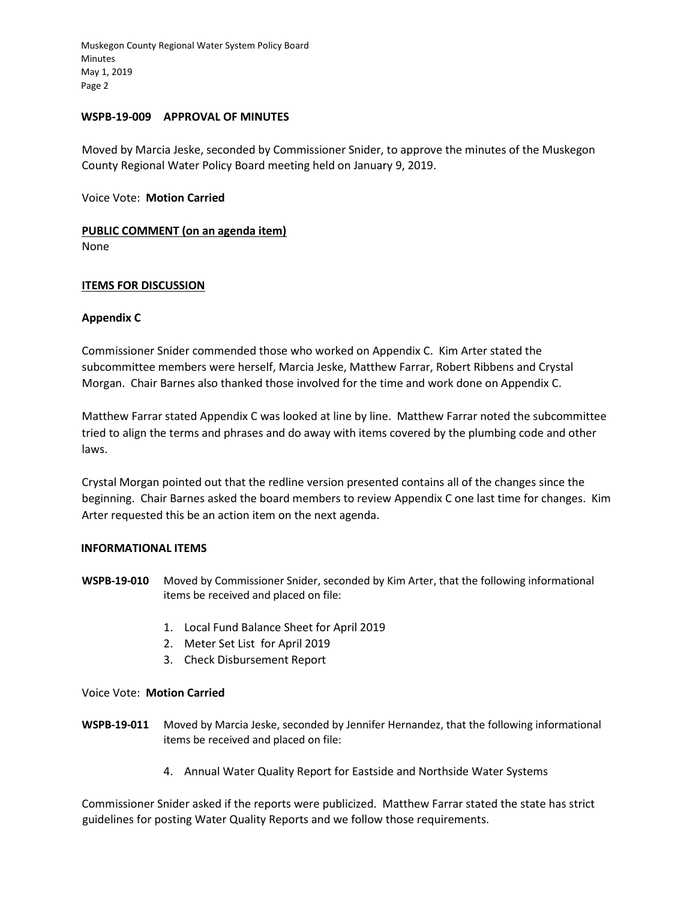#### **WSPB-19-009 APPROVAL OF MINUTES**

Moved by Marcia Jeske, seconded by Commissioner Snider, to approve the minutes of the Muskegon County Regional Water Policy Board meeting held on January 9, 2019.

Voice Vote: **Motion Carried** 

# **PUBLIC COMMENT (on an agenda item)**

None

# **ITEMS FOR DISCUSSION**

# **Appendix C**

Commissioner Snider commended those who worked on Appendix C. Kim Arter stated the subcommittee members were herself, Marcia Jeske, Matthew Farrar, Robert Ribbens and Crystal Morgan. Chair Barnes also thanked those involved for the time and work done on Appendix C.

Matthew Farrar stated Appendix C was looked at line by line. Matthew Farrar noted the subcommittee tried to align the terms and phrases and do away with items covered by the plumbing code and other laws.

Crystal Morgan pointed out that the redline version presented contains all of the changes since the beginning. Chair Barnes asked the board members to review Appendix C one last time for changes. Kim Arter requested this be an action item on the next agenda.

#### **INFORMATIONAL ITEMS**

- **WSPB-19-010** Moved by Commissioner Snider, seconded by Kim Arter, that the following informational items be received and placed on file:
	- 1. Local Fund Balance Sheet for April 2019
	- 2. Meter Set List for April 2019
	- 3. Check Disbursement Report

# Voice Vote: **Motion Carried**

- **WSPB-19-011** Moved by Marcia Jeske, seconded by Jennifer Hernandez, that the following informational items be received and placed on file:
	- 4. Annual Water Quality Report for Eastside and Northside Water Systems

Commissioner Snider asked if the reports were publicized. Matthew Farrar stated the state has strict guidelines for posting Water Quality Reports and we follow those requirements.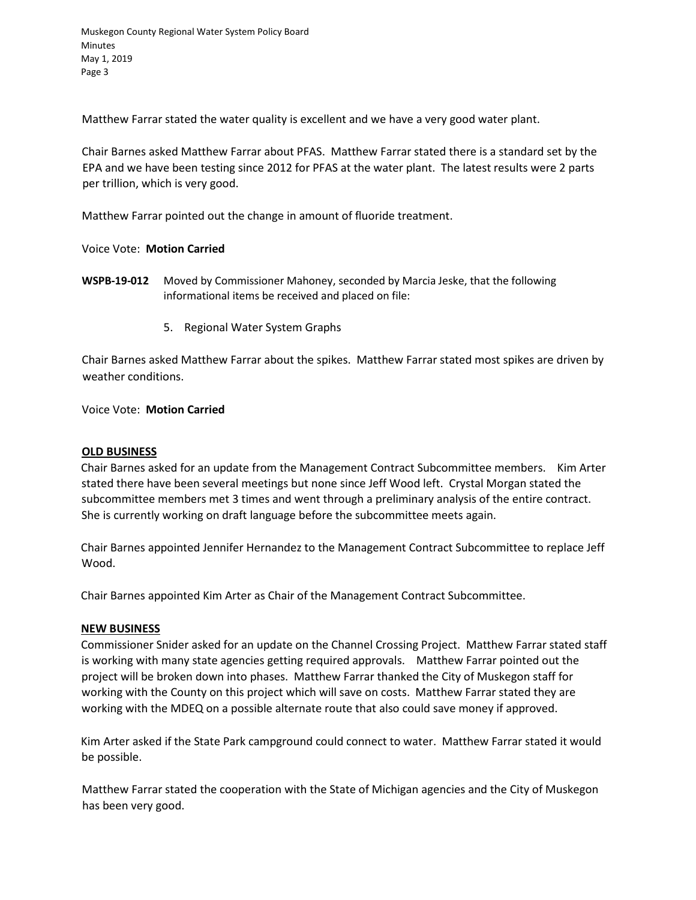Matthew Farrar stated the water quality is excellent and we have a very good water plant.

Chair Barnes asked Matthew Farrar about PFAS. Matthew Farrar stated there is a standard set by the EPA and we have been testing since 2012 for PFAS at the water plant. The latest results were 2 parts per trillion, which is very good.

Matthew Farrar pointed out the change in amount of fluoride treatment.

Voice Vote: **Motion Carried**

- **WSPB-19-012** Moved by Commissioner Mahoney, seconded by Marcia Jeske, that the following informational items be received and placed on file:
	- 5. Regional Water System Graphs

Chair Barnes asked Matthew Farrar about the spikes. Matthew Farrar stated most spikes are driven by weather conditions.

Voice Vote: **Motion Carried**

#### **OLD BUSINESS**

Chair Barnes asked for an update from the Management Contract Subcommittee members. Kim Arter stated there have been several meetings but none since Jeff Wood left. Crystal Morgan stated the subcommittee members met 3 times and went through a preliminary analysis of the entire contract. She is currently working on draft language before the subcommittee meets again.

Chair Barnes appointed Jennifer Hernandez to the Management Contract Subcommittee to replace Jeff Wood.

Chair Barnes appointed Kim Arter as Chair of the Management Contract Subcommittee.

#### **NEW BUSINESS**

Commissioner Snider asked for an update on the Channel Crossing Project. Matthew Farrar stated staff is working with many state agencies getting required approvals. Matthew Farrar pointed out the project will be broken down into phases. Matthew Farrar thanked the City of Muskegon staff for working with the County on this project which will save on costs. Matthew Farrar stated they are working with the MDEQ on a possible alternate route that also could save money if approved.

Kim Arter asked if the State Park campground could connect to water. Matthew Farrar stated it would be possible.

Matthew Farrar stated the cooperation with the State of Michigan agencies and the City of Muskegon has been very good.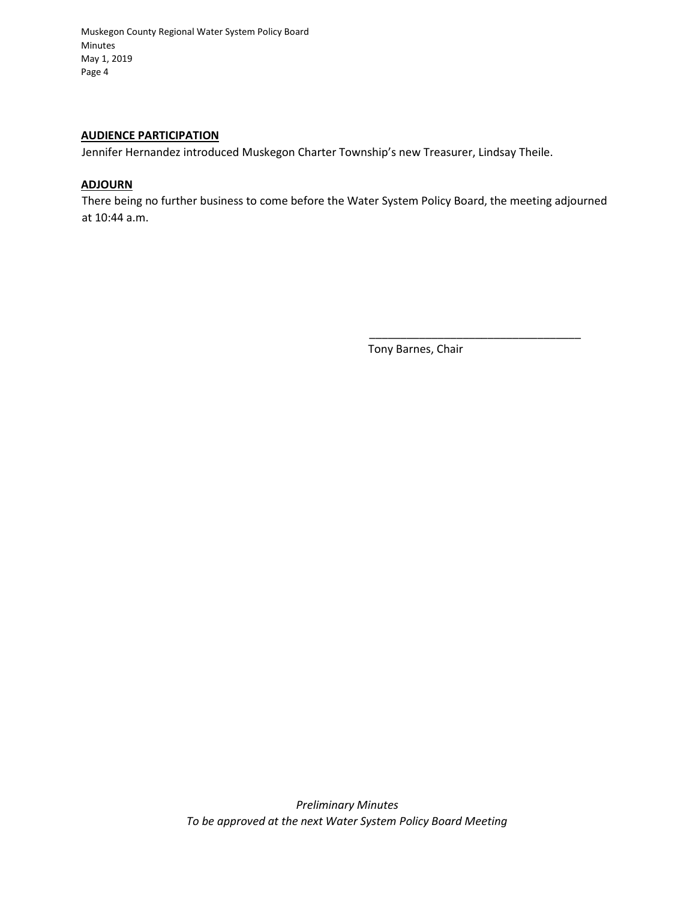#### **AUDIENCE PARTICIPATION**

Jennifer Hernandez introduced Muskegon Charter Township's new Treasurer, Lindsay Theile.

# **ADJOURN**

There being no further business to come before the Water System Policy Board, the meeting adjourned at 10:44 a.m.

Tony Barnes, Chair

\_\_\_\_\_\_\_\_\_\_\_\_\_\_\_\_\_\_\_\_\_\_\_\_\_\_\_\_\_\_\_\_\_\_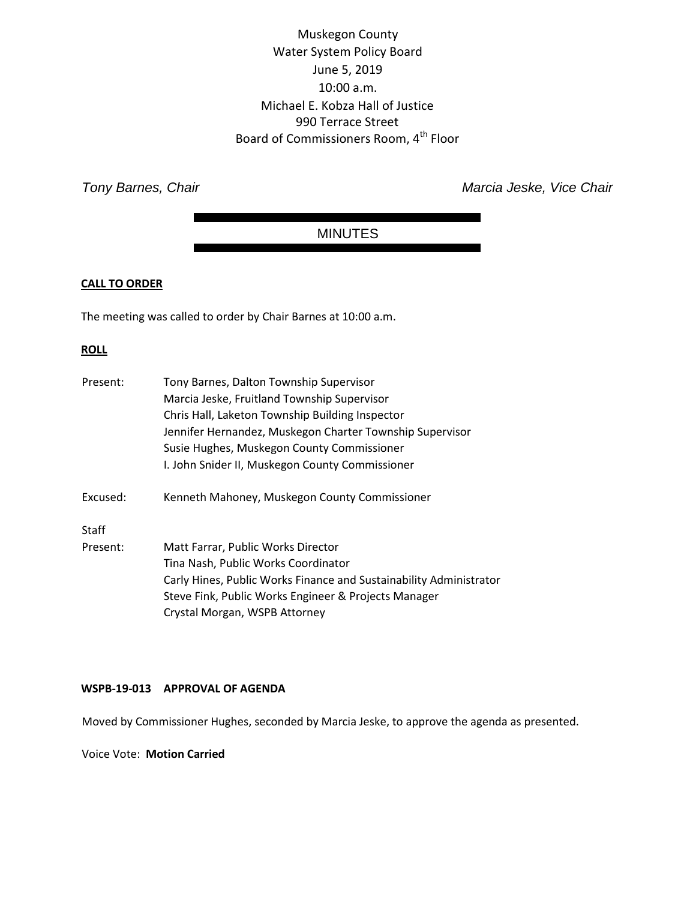# Muskegon County Water System Policy Board June 5, 2019 10:00 a.m. Michael E. Kobza Hall of Justice 990 Terrace Street Board of Commissioners Room, 4<sup>th</sup> Floor

**Tony Barnes, Chair** *Tony Barnes*, Chair *Marcia Jeske, Vice Chair* 

# MINUTES

# **CALL TO ORDER**

The meeting was called to order by Chair Barnes at 10:00 a.m.

# **ROLL**

| Present:     | Tony Barnes, Dalton Township Supervisor                            |
|--------------|--------------------------------------------------------------------|
|              | Marcia Jeske, Fruitland Township Supervisor                        |
|              | Chris Hall, Laketon Township Building Inspector                    |
|              | Jennifer Hernandez, Muskegon Charter Township Supervisor           |
|              | Susie Hughes, Muskegon County Commissioner                         |
|              | I. John Snider II, Muskegon County Commissioner                    |
| Excused:     | Kenneth Mahoney, Muskegon County Commissioner                      |
| <b>Staff</b> |                                                                    |
| Present:     | Matt Farrar, Public Works Director                                 |
|              | Tina Nash, Public Works Coordinator                                |
|              | Carly Hines, Public Works Finance and Sustainability Administrator |
|              | Steve Fink, Public Works Engineer & Projects Manager               |
|              | Crystal Morgan, WSPB Attorney                                      |
|              |                                                                    |

# **WSPB-19-013 APPROVAL OF AGENDA**

Moved by Commissioner Hughes, seconded by Marcia Jeske, to approve the agenda as presented.

Voice Vote: **Motion Carried**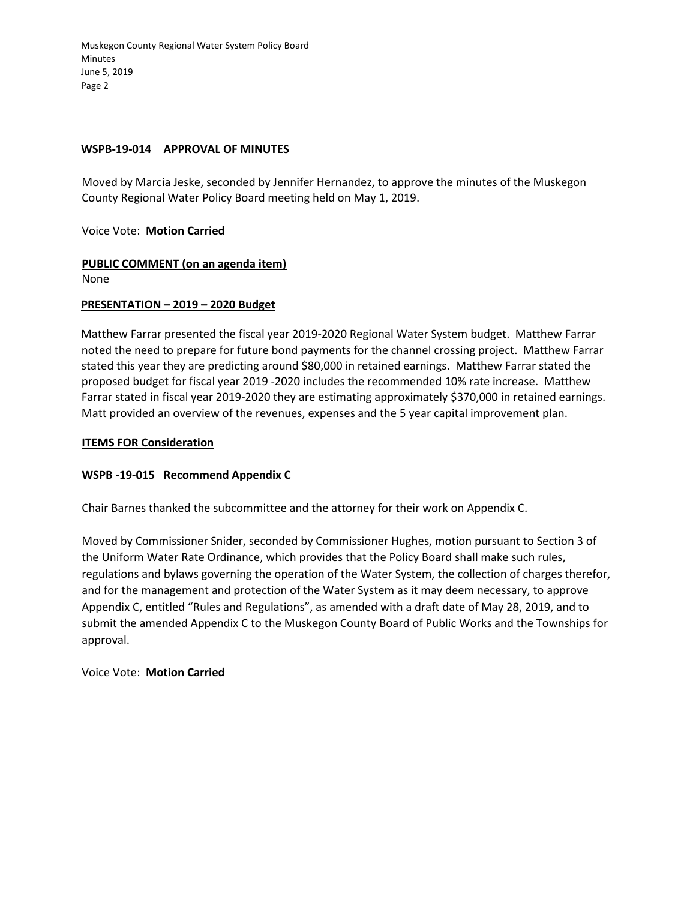#### **WSPB-19-014 APPROVAL OF MINUTES**

Moved by Marcia Jeske, seconded by Jennifer Hernandez, to approve the minutes of the Muskegon County Regional Water Policy Board meeting held on May 1, 2019.

Voice Vote: **Motion Carried** 

**PUBLIC COMMENT (on an agenda item)** 

None

#### **PRESENTATION – 2019 – 2020 Budget**

Matthew Farrar presented the fiscal year 2019-2020 Regional Water System budget. Matthew Farrar noted the need to prepare for future bond payments for the channel crossing project. Matthew Farrar stated this year they are predicting around \$80,000 in retained earnings. Matthew Farrar stated the proposed budget for fiscal year 2019 -2020 includes the recommended 10% rate increase. Matthew Farrar stated in fiscal year 2019-2020 they are estimating approximately \$370,000 in retained earnings. Matt provided an overview of the revenues, expenses and the 5 year capital improvement plan.

#### **ITEMS FOR Consideration**

# **WSPB -19-015 Recommend Appendix C**

Chair Barnes thanked the subcommittee and the attorney for their work on Appendix C.

Moved by Commissioner Snider, seconded by Commissioner Hughes, motion pursuant to Section 3 of the Uniform Water Rate Ordinance, which provides that the Policy Board shall make such rules, regulations and bylaws governing the operation of the Water System, the collection of charges therefor, and for the management and protection of the Water System as it may deem necessary, to approve Appendix C, entitled "Rules and Regulations", as amended with a draft date of May 28, 2019, and to submit the amended Appendix C to the Muskegon County Board of Public Works and the Townships for approval.

Voice Vote: **Motion Carried**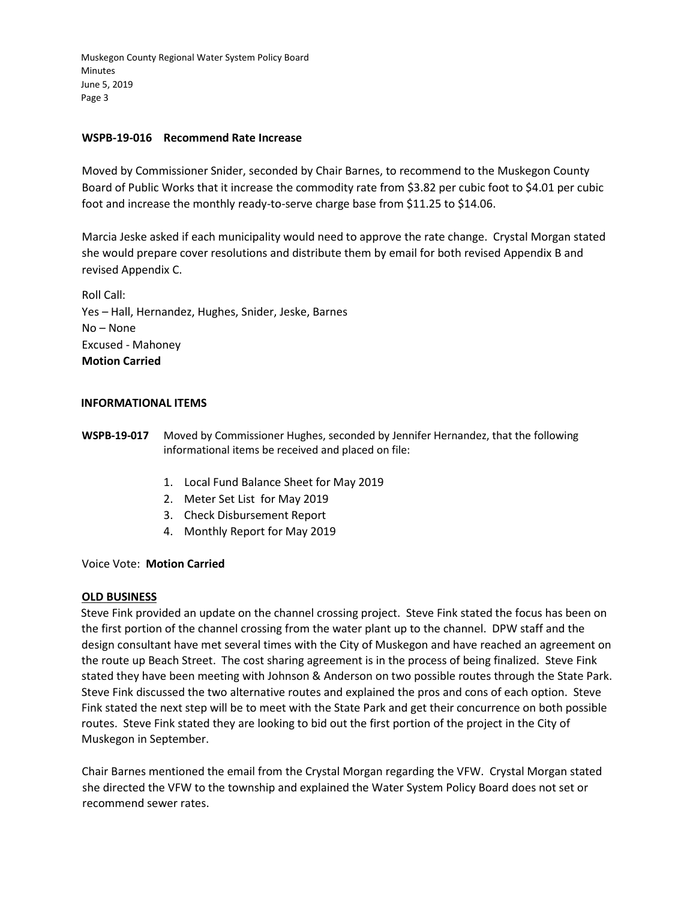### **WSPB-19-016 Recommend Rate Increase**

Moved by Commissioner Snider, seconded by Chair Barnes, to recommend to the Muskegon County Board of Public Works that it increase the commodity rate from \$3.82 per cubic foot to \$4.01 per cubic foot and increase the monthly ready-to-serve charge base from \$11.25 to \$14.06.

Marcia Jeske asked if each municipality would need to approve the rate change. Crystal Morgan stated she would prepare cover resolutions and distribute them by email for both revised Appendix B and revised Appendix C.

Roll Call: Yes – Hall, Hernandez, Hughes, Snider, Jeske, Barnes No – None Excused - Mahoney **Motion Carried**

#### **INFORMATIONAL ITEMS**

**WSPB-19-017** Moved by Commissioner Hughes, seconded by Jennifer Hernandez, that the following informational items be received and placed on file:

- 1. Local Fund Balance Sheet for May 2019
- 2. Meter Set List for May 2019
- 3. Check Disbursement Report
- 4. Monthly Report for May 2019

#### Voice Vote: **Motion Carried**

#### **OLD BUSINESS**

Steve Fink provided an update on the channel crossing project. Steve Fink stated the focus has been on the first portion of the channel crossing from the water plant up to the channel. DPW staff and the design consultant have met several times with the City of Muskegon and have reached an agreement on the route up Beach Street. The cost sharing agreement is in the process of being finalized. Steve Fink stated they have been meeting with Johnson & Anderson on two possible routes through the State Park. Steve Fink discussed the two alternative routes and explained the pros and cons of each option. Steve Fink stated the next step will be to meet with the State Park and get their concurrence on both possible routes. Steve Fink stated they are looking to bid out the first portion of the project in the City of Muskegon in September.

Chair Barnes mentioned the email from the Crystal Morgan regarding the VFW. Crystal Morgan stated she directed the VFW to the township and explained the Water System Policy Board does not set or recommend sewer rates.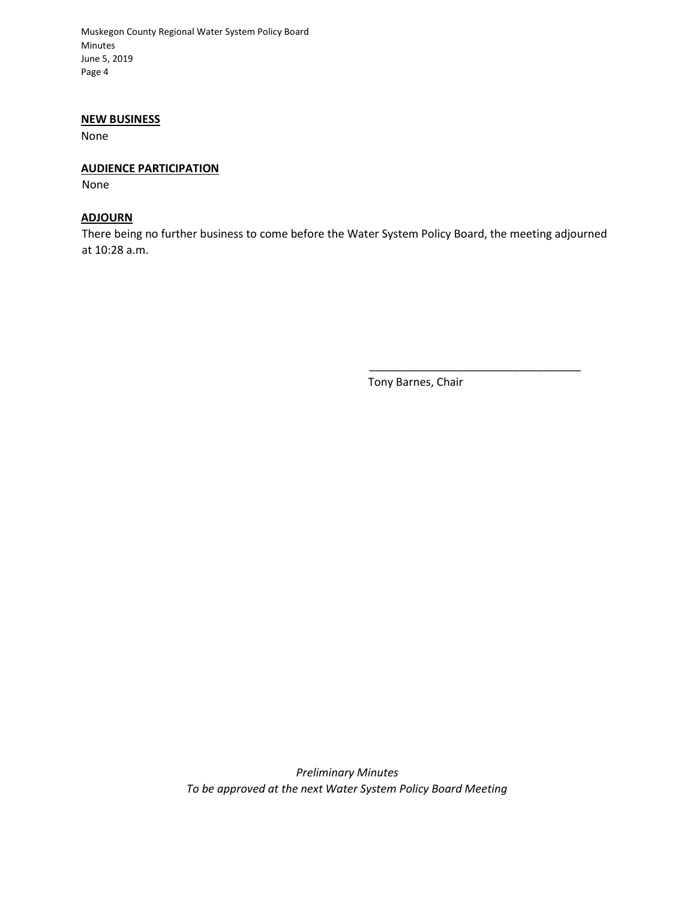#### **NEW BUSINESS**

None

#### **AUDIENCE PARTICIPATION**

None

### **ADJOURN**

There being no further business to come before the Water System Policy Board, the meeting adjourned at 10:28 a.m.

Tony Barnes, Chair

\_\_\_\_\_\_\_\_\_\_\_\_\_\_\_\_\_\_\_\_\_\_\_\_\_\_\_\_\_\_\_\_\_\_

*Preliminary Minutes To be approved at the next Water System Policy Board Meeting*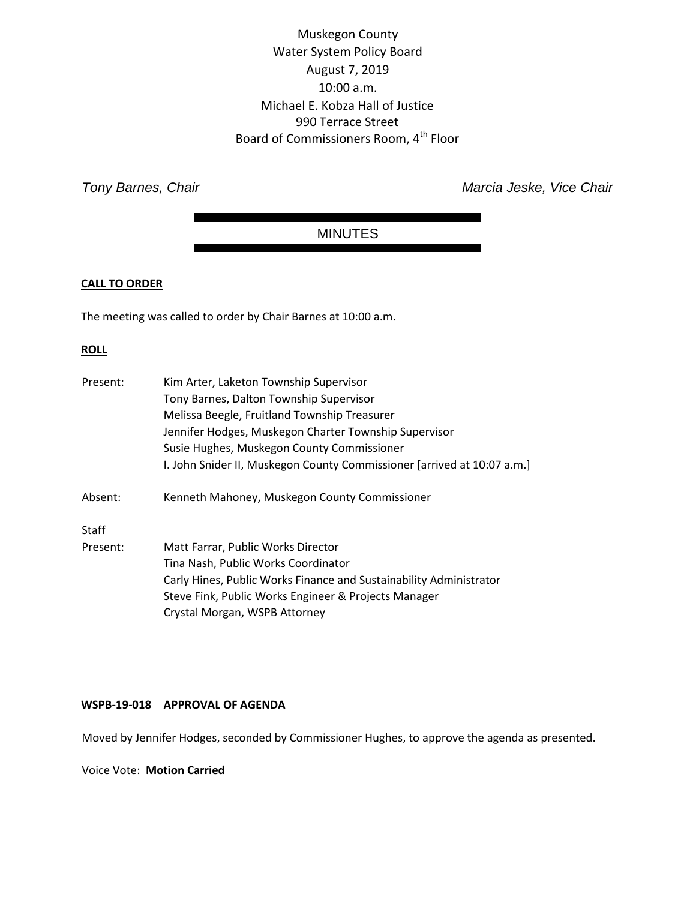Muskegon County Water System Policy Board August 7, 2019 10:00 a.m. Michael E. Kobza Hall of Justice 990 Terrace Street Board of Commissioners Room, 4<sup>th</sup> Floor

**Tony Barnes, Chair** *Tony Barnes*, Chair *Marcia Jeske, Vice Chair* 

# MINUTES

# **CALL TO ORDER**

The meeting was called to order by Chair Barnes at 10:00 a.m.

# **ROLL**

| Present: | Kim Arter, Laketon Township Supervisor                                  |
|----------|-------------------------------------------------------------------------|
|          | Tony Barnes, Dalton Township Supervisor                                 |
|          | Melissa Beegle, Fruitland Township Treasurer                            |
|          | Jennifer Hodges, Muskegon Charter Township Supervisor                   |
|          | Susie Hughes, Muskegon County Commissioner                              |
|          | I. John Snider II, Muskegon County Commissioner [arrived at 10:07 a.m.] |
| Absent:  | Kenneth Mahoney, Muskegon County Commissioner                           |
| Staff    |                                                                         |
| Present: | Matt Farrar, Public Works Director                                      |
|          | Tina Nash, Public Works Coordinator                                     |
|          | Carly Hines, Public Works Finance and Sustainability Administrator      |
|          | Steve Fink, Public Works Engineer & Projects Manager                    |
|          | Crystal Morgan, WSPB Attorney                                           |

# **WSPB-19-018 APPROVAL OF AGENDA**

Moved by Jennifer Hodges, seconded by Commissioner Hughes, to approve the agenda as presented.

Voice Vote: **Motion Carried**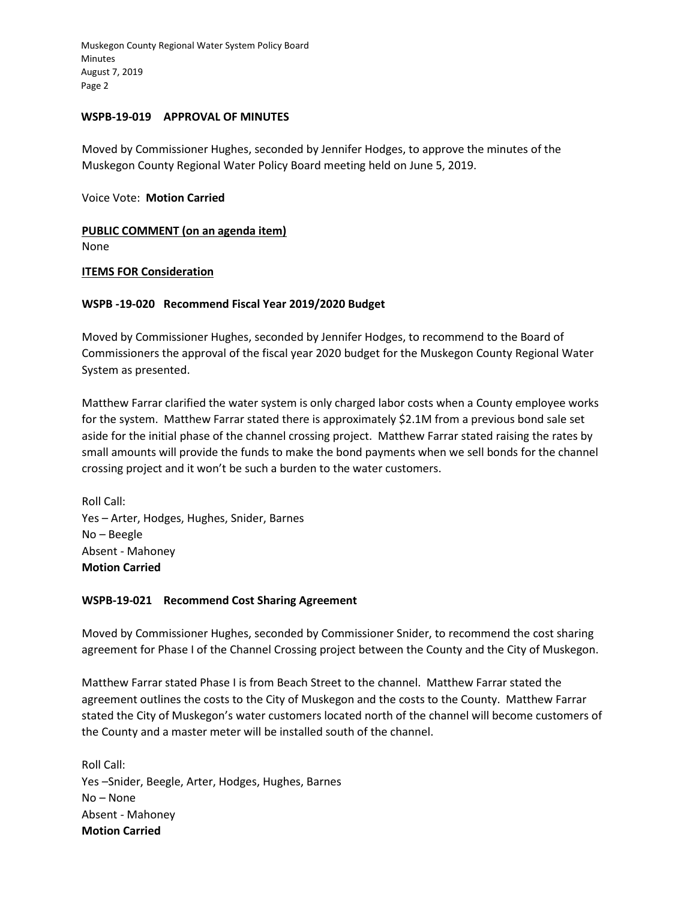#### **WSPB-19-019 APPROVAL OF MINUTES**

Moved by Commissioner Hughes, seconded by Jennifer Hodges, to approve the minutes of the Muskegon County Regional Water Policy Board meeting held on June 5, 2019.

Voice Vote: **Motion Carried** 

**PUBLIC COMMENT (on an agenda item)** 

None

# **ITEMS FOR Consideration**

# **WSPB -19-020 Recommend Fiscal Year 2019/2020 Budget**

Moved by Commissioner Hughes, seconded by Jennifer Hodges, to recommend to the Board of Commissioners the approval of the fiscal year 2020 budget for the Muskegon County Regional Water System as presented.

Matthew Farrar clarified the water system is only charged labor costs when a County employee works for the system. Matthew Farrar stated there is approximately \$2.1M from a previous bond sale set aside for the initial phase of the channel crossing project. Matthew Farrar stated raising the rates by small amounts will provide the funds to make the bond payments when we sell bonds for the channel crossing project and it won't be such a burden to the water customers.

Roll Call: Yes – Arter, Hodges, Hughes, Snider, Barnes No – Beegle Absent - Mahoney **Motion Carried**

# **WSPB-19-021 Recommend Cost Sharing Agreement**

Moved by Commissioner Hughes, seconded by Commissioner Snider, to recommend the cost sharing agreement for Phase I of the Channel Crossing project between the County and the City of Muskegon.

Matthew Farrar stated Phase I is from Beach Street to the channel. Matthew Farrar stated the agreement outlines the costs to the City of Muskegon and the costs to the County. Matthew Farrar stated the City of Muskegon's water customers located north of the channel will become customers of the County and a master meter will be installed south of the channel.

Roll Call: Yes –Snider, Beegle, Arter, Hodges, Hughes, Barnes No – None Absent - Mahoney **Motion Carried**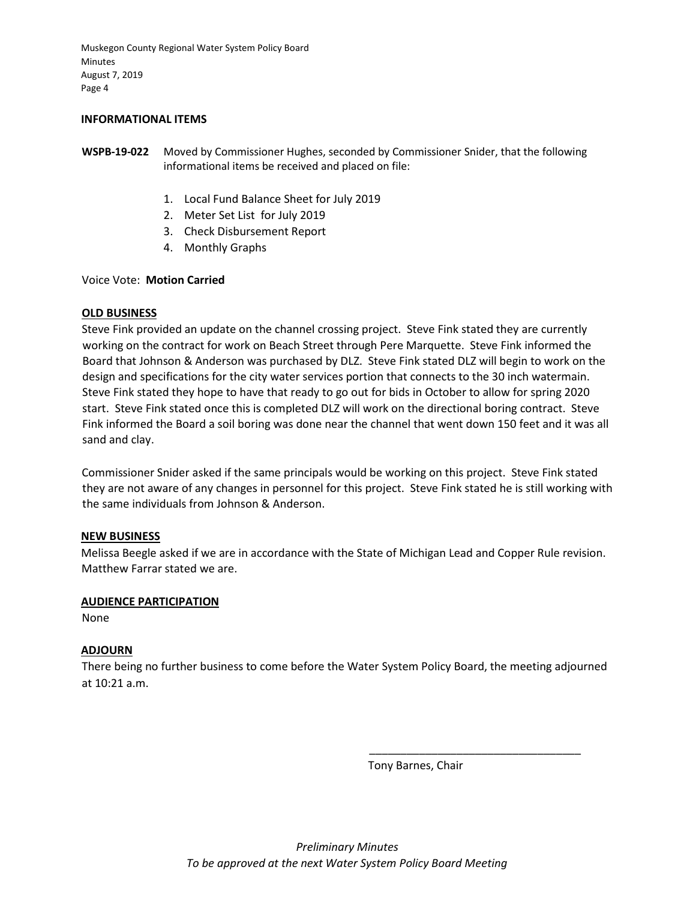#### **INFORMATIONAL ITEMS**

- **WSPB-19-022** Moved by Commissioner Hughes, seconded by Commissioner Snider, that the following informational items be received and placed on file:
	- 1. Local Fund Balance Sheet for July 2019
	- 2. Meter Set List for July 2019
	- 3. Check Disbursement Report
	- 4. Monthly Graphs

Voice Vote: **Motion Carried**

#### **OLD BUSINESS**

Steve Fink provided an update on the channel crossing project. Steve Fink stated they are currently working on the contract for work on Beach Street through Pere Marquette. Steve Fink informed the Board that Johnson & Anderson was purchased by DLZ. Steve Fink stated DLZ will begin to work on the design and specifications for the city water services portion that connects to the 30 inch watermain. Steve Fink stated they hope to have that ready to go out for bids in October to allow for spring 2020 start. Steve Fink stated once this is completed DLZ will work on the directional boring contract. Steve Fink informed the Board a soil boring was done near the channel that went down 150 feet and it was all sand and clay.

Commissioner Snider asked if the same principals would be working on this project. Steve Fink stated they are not aware of any changes in personnel for this project. Steve Fink stated he is still working with the same individuals from Johnson & Anderson.

#### **NEW BUSINESS**

Melissa Beegle asked if we are in accordance with the State of Michigan Lead and Copper Rule revision. Matthew Farrar stated we are.

#### **AUDIENCE PARTICIPATION**

None

#### **ADJOURN**

There being no further business to come before the Water System Policy Board, the meeting adjourned at 10:21 a.m.

Tony Barnes, Chair

\_\_\_\_\_\_\_\_\_\_\_\_\_\_\_\_\_\_\_\_\_\_\_\_\_\_\_\_\_\_\_\_\_\_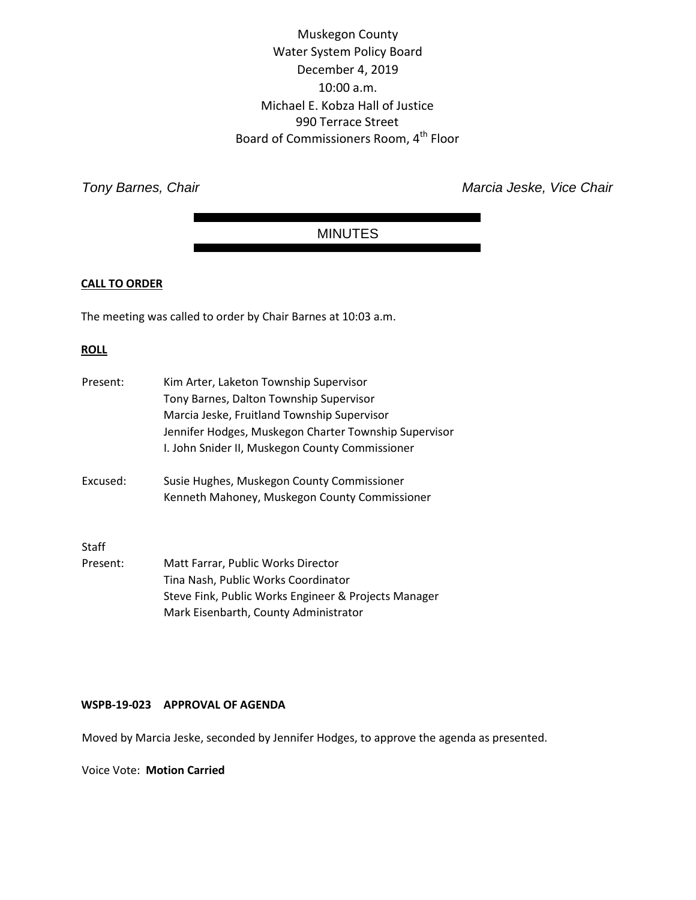Muskegon County Water System Policy Board December 4, 2019 10:00 a.m. Michael E. Kobza Hall of Justice 990 Terrace Street Board of Commissioners Room, 4<sup>th</sup> Floor

**Tony Barnes, Chair** *Tony Barnes*, Chair *Marcia Jeske, Vice Chair* 

# MINUTES

# **CALL TO ORDER**

The meeting was called to order by Chair Barnes at 10:03 a.m.

# **ROLL**

| Present: | Kim Arter, Laketon Township Supervisor<br>Tony Barnes, Dalton Township Supervisor<br>Marcia Jeske, Fruitland Township Supervisor |
|----------|----------------------------------------------------------------------------------------------------------------------------------|
|          | Jennifer Hodges, Muskegon Charter Township Supervisor<br>I. John Snider II, Muskegon County Commissioner                         |
| Excused: | Susie Hughes, Muskegon County Commissioner                                                                                       |
|          | Kenneth Mahoney, Muskegon County Commissioner                                                                                    |
| Staff    |                                                                                                                                  |
| Present: | Matt Farrar, Public Works Director                                                                                               |
|          | Tina Nash, Public Works Coordinator                                                                                              |
|          | Steve Fink, Public Works Engineer & Projects Manager                                                                             |
|          | Mark Eisenbarth, County Administrator                                                                                            |

# **WSPB-19-023 APPROVAL OF AGENDA**

Moved by Marcia Jeske, seconded by Jennifer Hodges, to approve the agenda as presented.

Voice Vote: **Motion Carried**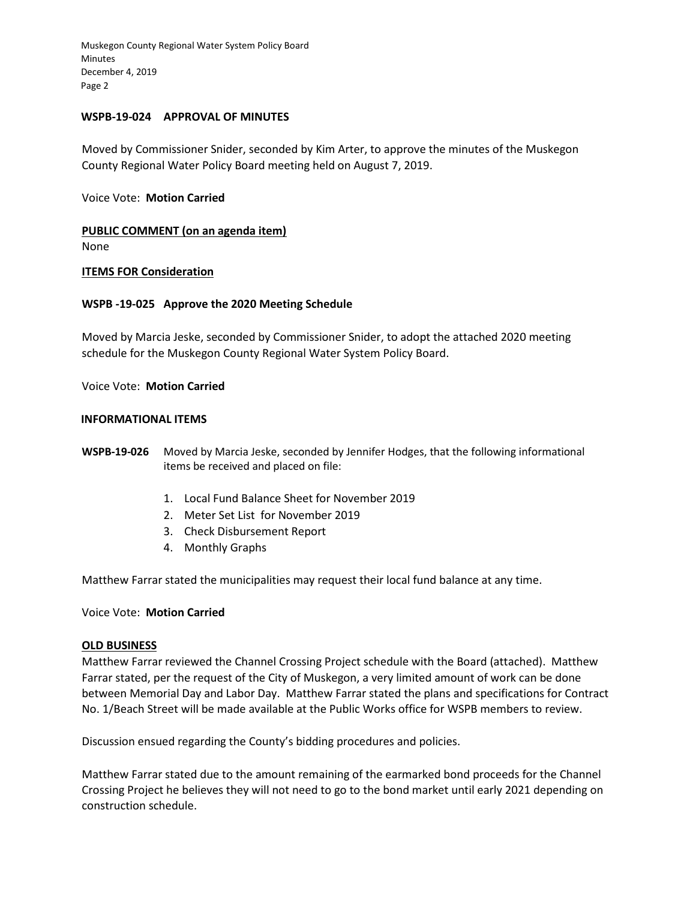#### **WSPB-19-024 APPROVAL OF MINUTES**

Moved by Commissioner Snider, seconded by Kim Arter, to approve the minutes of the Muskegon County Regional Water Policy Board meeting held on August 7, 2019.

#### Voice Vote: **Motion Carried**

**PUBLIC COMMENT (on an agenda item)** 

None

# **ITEMS FOR Consideration**

# **WSPB -19-025 Approve the 2020 Meeting Schedule**

Moved by Marcia Jeske, seconded by Commissioner Snider, to adopt the attached 2020 meeting schedule for the Muskegon County Regional Water System Policy Board.

Voice Vote: **Motion Carried** 

#### **INFORMATIONAL ITEMS**

**WSPB-19-026** Moved by Marcia Jeske, seconded by Jennifer Hodges, that the following informational items be received and placed on file:

- 1. Local Fund Balance Sheet for November 2019
- 2. Meter Set List for November 2019
- 3. Check Disbursement Report
- 4. Monthly Graphs

Matthew Farrar stated the municipalities may request their local fund balance at any time.

#### Voice Vote: **Motion Carried**

#### **OLD BUSINESS**

Matthew Farrar reviewed the Channel Crossing Project schedule with the Board (attached). Matthew Farrar stated, per the request of the City of Muskegon, a very limited amount of work can be done between Memorial Day and Labor Day. Matthew Farrar stated the plans and specifications for Contract No. 1/Beach Street will be made available at the Public Works office for WSPB members to review.

Discussion ensued regarding the County's bidding procedures and policies.

Matthew Farrar stated due to the amount remaining of the earmarked bond proceeds for the Channel Crossing Project he believes they will not need to go to the bond market until early 2021 depending on construction schedule.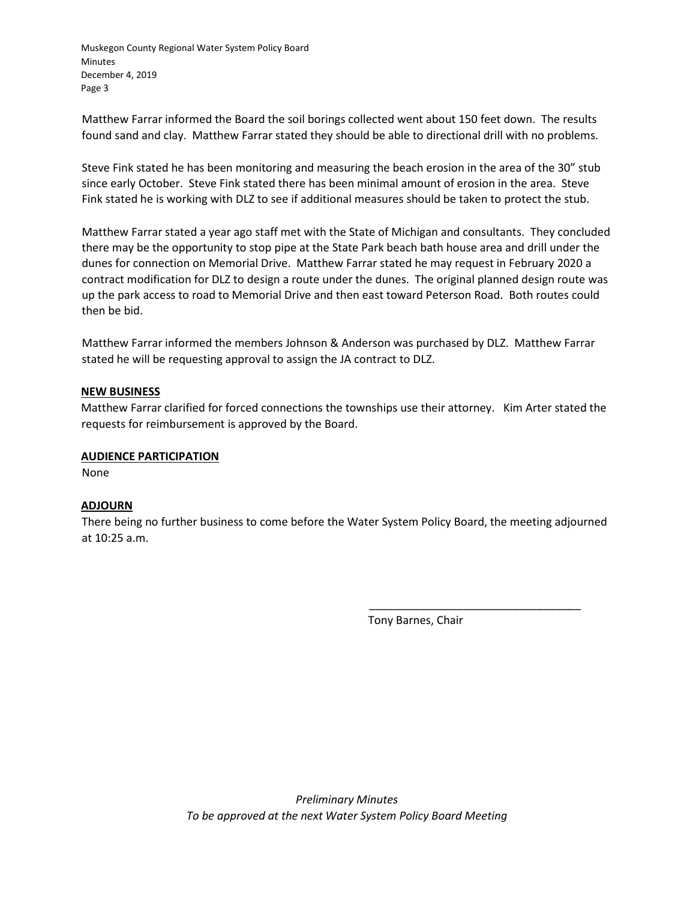Matthew Farrar informed the Board the soil borings collected went about 150 feet down. The results found sand and clay. Matthew Farrar stated they should be able to directional drill with no problems.

Steve Fink stated he has been monitoring and measuring the beach erosion in the area of the 30" stub since early October. Steve Fink stated there has been minimal amount of erosion in the area. Steve Fink stated he is working with DLZ to see if additional measures should be taken to protect the stub.

Matthew Farrar stated a year ago staff met with the State of Michigan and consultants. They concluded there may be the opportunity to stop pipe at the State Park beach bath house area and drill under the dunes for connection on Memorial Drive. Matthew Farrar stated he may request in February 2020 a contract modification for DLZ to design a route under the dunes. The original planned design route was up the park access to road to Memorial Drive and then east toward Peterson Road. Both routes could then be bid.

Matthew Farrar informed the members Johnson & Anderson was purchased by DLZ. Matthew Farrar stated he will be requesting approval to assign the JA contract to DLZ.

# **NEW BUSINESS**

Matthew Farrar clarified for forced connections the townships use their attorney. Kim Arter stated the requests for reimbursement is approved by the Board.

# **AUDIENCE PARTICIPATION**

None

# **ADJOURN**

There being no further business to come before the Water System Policy Board, the meeting adjourned at 10:25 a.m.

Tony Barnes, Chair

\_\_\_\_\_\_\_\_\_\_\_\_\_\_\_\_\_\_\_\_\_\_\_\_\_\_\_\_\_\_\_\_\_\_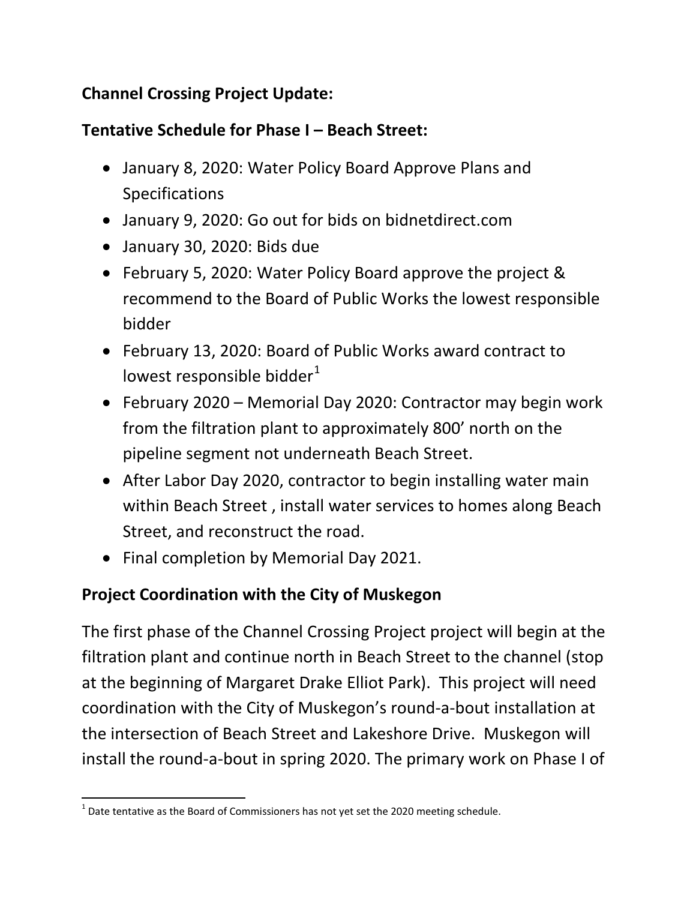# **Channel Crossing Project Update:**

# **Tentative Schedule for Phase I – Beach Street:**

- January 8, 2020: Water Policy Board Approve Plans and Specifications
- January 9, 2020: Go out for bids on bidnetdirect.com
- January 30, 2020: Bids due
- February 5, 2020: Water Policy Board approve the project & recommend to the Board of Public Works the lowest responsible bidder
- February 13, 2020: Board of Public Works award contract to lowest responsible bidder $1$
- February 2020 Memorial Day 2020: Contractor may begin work from the filtration plant to approximately 800' north on the pipeline segment not underneath Beach Street.
- After Labor Day 2020, contractor to begin installing water main within Beach Street , install water services to homes along Beach Street, and reconstruct the road.
- Final completion by Memorial Day 2021.

# **Project Coordination with the City of Muskegon**

The first phase of the Channel Crossing Project project will begin at the filtration plant and continue north in Beach Street to the channel (stop at the beginning of Margaret Drake Elliot Park). This project will need coordination with the City of Muskegon's round-a-bout installation at the intersection of Beach Street and Lakeshore Drive. Muskegon will install the round-a-bout in spring 2020. The primary work on Phase I of

<span id="page-19-0"></span> $1$  Date tentative as the Board of Commissioners has not yet set the 2020 meeting schedule.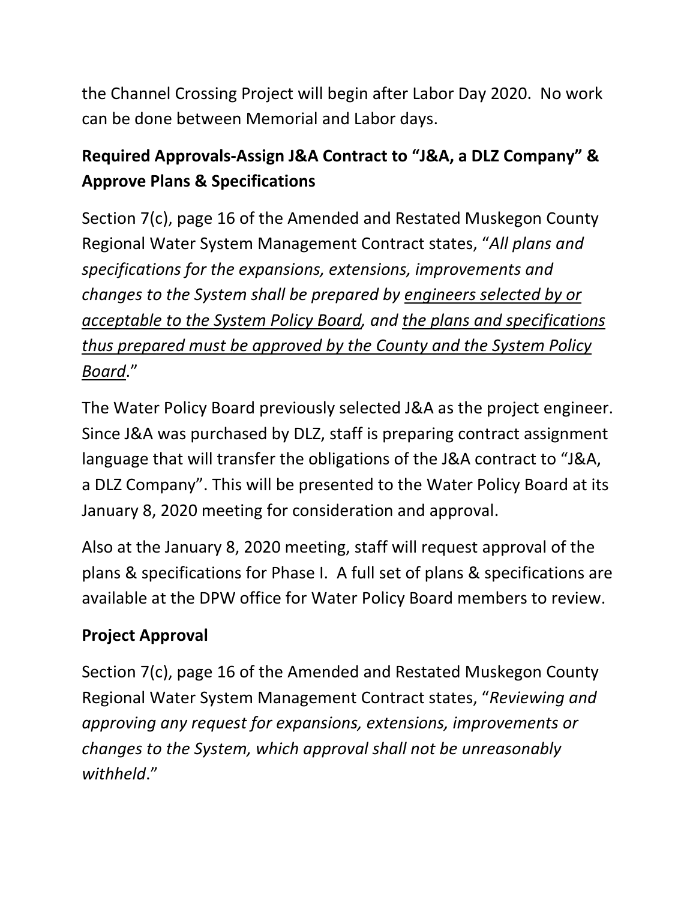the Channel Crossing Project will begin after Labor Day 2020. No work can be done between Memorial and Labor days.

# **Required Approvals-Assign J&A Contract to "J&A, a DLZ Company" & Approve Plans & Specifications**

Section 7(c), page 16 of the Amended and Restated Muskegon County Regional Water System Management Contract states, "*All plans and specifications for the expansions, extensions, improvements and changes to the System shall be prepared by engineers selected by or acceptable to the System Policy Board, and the plans and specifications thus prepared must be approved by the County and the System Policy Board*."

The Water Policy Board previously selected J&A as the project engineer. Since J&A was purchased by DLZ, staff is preparing contract assignment language that will transfer the obligations of the J&A contract to "J&A, a DLZ Company". This will be presented to the Water Policy Board at its January 8, 2020 meeting for consideration and approval.

Also at the January 8, 2020 meeting, staff will request approval of the plans & specifications for Phase I. A full set of plans & specifications are available at the DPW office for Water Policy Board members to review.

# **Project Approval**

Section 7(c), page 16 of the Amended and Restated Muskegon County Regional Water System Management Contract states, "*Reviewing and approving any request for expansions, extensions, improvements or changes to the System, which approval shall not be unreasonably withheld*."